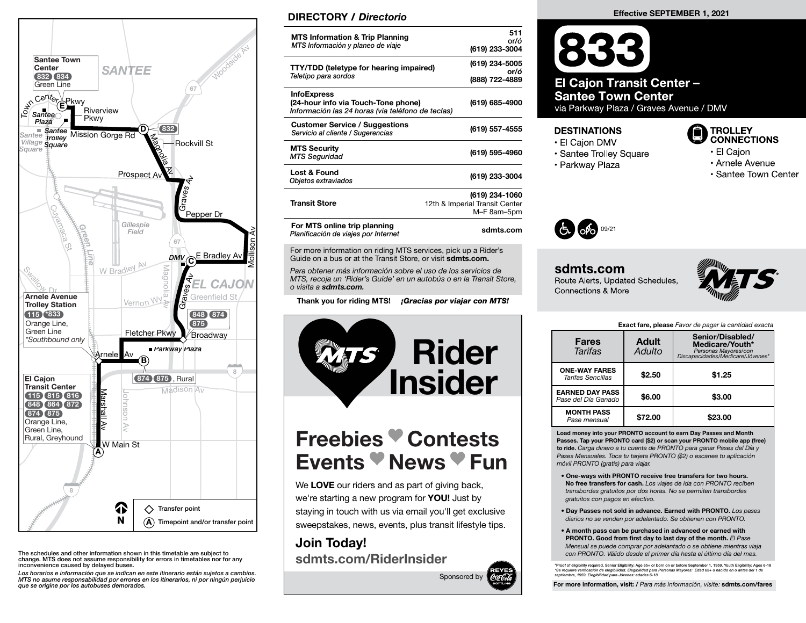

The schedules and other information shown in this timetable are subject to change. MTS does not assume responsibility for errors in timetables nor for any inconvenience caused by delayed buses.

Los horarios e información que se indican en este itinerario están sujetos a cambios. MTS no asume responsabilidad por errores en los itinerarios, ni por ningún perjuicio que se origine por los autobuses demorados.

### DIRECTORY / Directorio

| <b>MTS Information &amp; Trip Planning</b><br>MTS Información y planeo de viaje                                | 511<br>or/ó<br>(619) 233-3004                                   |
|----------------------------------------------------------------------------------------------------------------|-----------------------------------------------------------------|
| <b>TTY/TDD (teletype for hearing impaired)</b><br>Teletipo para sordos                                         | (619) 234-5005<br>or/ó<br>(888) 722-4889                        |
| <b>InfoExpress</b><br>(24-hour info via Touch-Tone phone)<br>Información las 24 horas (via teléfono de teclas) | (619) 685-4900                                                  |
| <b>Customer Service / Suggestions</b><br>Servicio al cliente / Sugerencias                                     | (619) 557-4555                                                  |
| <b>MTS Security</b><br><b>MTS Seguridad</b>                                                                    | (619) 595-4960                                                  |
| Lost & Found<br>Objetos extraviados                                                                            | (619) 233-3004                                                  |
| <b>Transit Store</b>                                                                                           | (619) 234-1060<br>12th & Imperial Transit Center<br>M-F 8am-5pm |
| For MTS online trip planning<br>Planificación de viaies por Internet                                           | sdmts.com                                                       |

For more information on riding MTS services, pick up a Rider's Guide on a bus or at the Transit Store, or visit sdmts.com.

Para obtener más información sobre el uso de los servicios de MTS, recoja un 'Rider's Guide' en un autobús o en la Transit Store, o visita a sdmts.com.

Thank you for riding MTS! **¡Gracias por viajar con MTS!** 



# Freebies Contests Events News Fun

We LOVE our riders and as part of giving back, we're starting a new program for **YOU!** Just by staying in touch with us via email you'll get exclusive sweepstakes, news, events, plus transit lifestyle tips.

# Join Today! sdmts.com/RiderInsider



#### Effective SEPTEMBER 1, 2021

833 **El Cajon Transit Center -Santee Town Center** via Parkway Plaza / Graves Avenue / DMV

#### **DESTINATIONS**

- El Caion DMV
- · Santee Trolley Square
- 
- · Parkway Plaza

#### **TROLLEY CONNECTIONS**

- El Cajon
- Arnele Avenue
	- · Santee Town Center



#### sdmts.com Route Alerts, Updated Schedules. **Connections & More**



Exact fare, please Favor de pagar la cantidad exacta

| <b>Fares</b><br><b>Tarifas</b>                   | <b>Adult</b><br>Adulto | Senior/Disabled/<br>Medicare/Youth*<br>Personas Mayores/con<br>Discapacidades/Medicare/Jóvenes* |
|--------------------------------------------------|------------------------|-------------------------------------------------------------------------------------------------|
| <b>ONE-WAY FARES</b><br><b>Tarifas Sencillas</b> | \$2.50                 | \$1.25                                                                                          |
| <b>EARNED DAY PASS</b><br>Pase del Día Ganado    | \$6.00                 | \$3.00                                                                                          |
| <b>MONTH PASS</b><br>Pase mensual                | \$72.00                | \$23.00                                                                                         |

Load money into your PRONTO account to earn Day Passes and Month Passes. Tap your PRONTO card (\$2) or scan your PRONTO mobile app (free) to ride. Carga dinero a tu cuenta de PRONTO para ganar Pases del Día y Pases Mensuales. Toca tu tarjeta PRONTO (\$2) o escanea tu aplicación móvil PRONTO (gratis) para viajar.

- One-ways with PRONTO receive free transfers for two hours. No free transfers for cash. Los viajes de ida con PRONTO reciben transbordes gratuitos por dos horas. No se permiten transbordes gratuitos con pagos en efectivo.
- Day Passes not sold in advance. Earned with PRONTO. Los pases diarios no se venden por adelantado. Se obtienen con PRONTO.
- A month pass can be purchased in advanced or earned with PRONTO. Good from first day to last day of the month. El Pase Mensual se puede comprar por adelantado o se obtiene mientras viaja con PRONTO. Válido desde el primer día hasta el último día del mes.

\*Proof of eligibility required. Senior Eligibility: Age 65+ or born on or before September 1, 1959. Youth Eligibility: Ages 6-18 \*Se requiere verifi cación de elegibilidad. Elegibilidad para Personas Mayores: Edad 65+ o nacido en o antes del 1 de septiembre, 1959. Elegibilidad para Jóvenes: edades 6-18

For more information, visit: / Para más información, visite: sdmts.com/fares